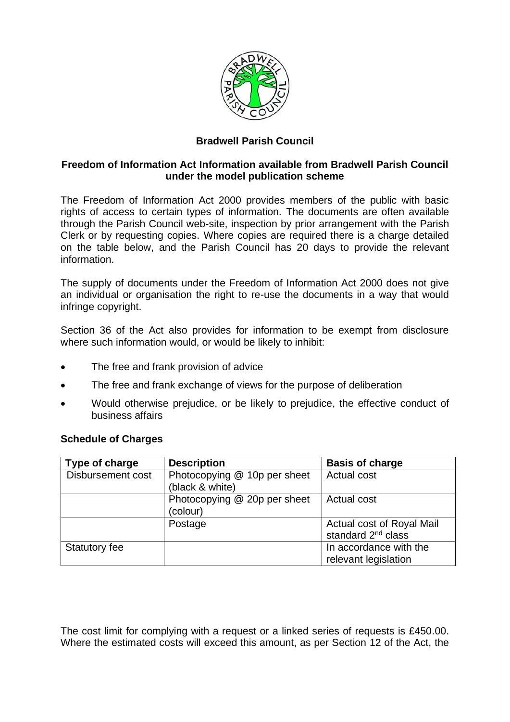

# **Bradwell Parish Council**

#### **Freedom of Information Act Information available from Bradwell Parish Council under the model publication scheme**

The Freedom of Information Act 2000 provides members of the public with basic rights of access to certain types of information. The documents are often available through the Parish Council web-site, inspection by prior arrangement with the Parish Clerk or by requesting copies. Where copies are required there is a charge detailed on the table below, and the Parish Council has 20 days to provide the relevant information.

The supply of documents under the Freedom of Information Act 2000 does not give an individual or organisation the right to re-use the documents in a way that would infringe copyright.

Section 36 of the Act also provides for information to be exempt from disclosure where such information would, or would be likely to inhibit:

- The free and frank provision of advice
- The free and frank exchange of views for the purpose of deliberation
- Would otherwise prejudice, or be likely to prejudice, the effective conduct of business affairs

| Type of charge    | <b>Description</b>           | <b>Basis of charge</b>         |
|-------------------|------------------------------|--------------------------------|
| Disbursement cost | Photocopying @ 10p per sheet | <b>Actual cost</b>             |
|                   | (black & white)              |                                |
|                   | Photocopying @ 20p per sheet | <b>Actual cost</b>             |
|                   | (colour)                     |                                |
|                   | Postage                      | Actual cost of Royal Mail      |
|                   |                              | standard 2 <sup>nd</sup> class |
| Statutory fee     |                              | In accordance with the         |
|                   |                              | relevant legislation           |

## **Schedule of Charges**

The cost limit for complying with a request or a linked series of requests is £450.00. Where the estimated costs will exceed this amount, as per Section 12 of the Act, the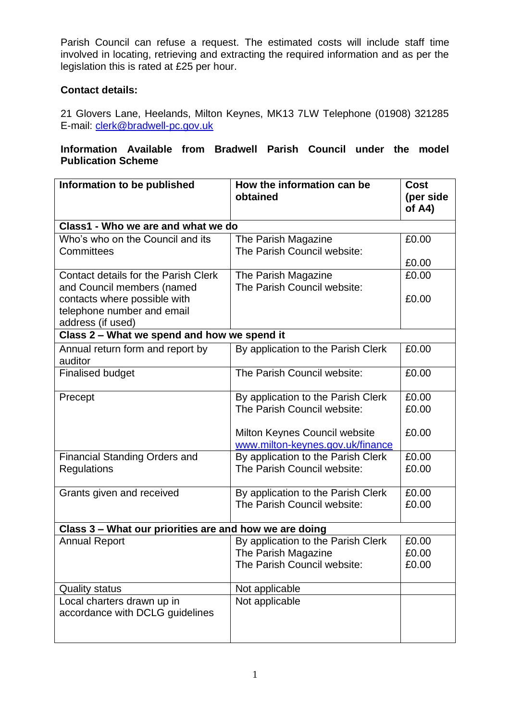Parish Council can refuse a request. The estimated costs will include staff time involved in locating, retrieving and extracting the required information and as per the legislation this is rated at £25 per hour.

### **Contact details:**

21 Glovers Lane, Heelands, Milton Keynes, MK13 7LW Telephone (01908) 321285 E-mail: [clerk@bradwell-pc.gov.uk](mailto:clerk@bradwell-pc.gov.uk)

# **Information Available from Bradwell Parish Council under the model Publication Scheme**

| Information to be published                            | How the information can be         | <b>Cost</b> |  |  |
|--------------------------------------------------------|------------------------------------|-------------|--|--|
|                                                        | obtained                           | (per side   |  |  |
|                                                        |                                    | of $A4$ )   |  |  |
| Class1 - Who we are and what we do                     |                                    |             |  |  |
| Who's who on the Council and its                       | The Parish Magazine                | £0.00       |  |  |
| Committees                                             | The Parish Council website:        |             |  |  |
|                                                        |                                    | £0.00       |  |  |
| <b>Contact details for the Parish Clerk</b>            | The Parish Magazine                | £0.00       |  |  |
| and Council members (named                             | The Parish Council website:        |             |  |  |
| contacts where possible with                           |                                    | £0.00       |  |  |
| telephone number and email                             |                                    |             |  |  |
| address (if used)                                      |                                    |             |  |  |
| Class 2 - What we spend and how we spend it            |                                    |             |  |  |
| Annual return form and report by                       | By application to the Parish Clerk | £0.00       |  |  |
| auditor                                                |                                    |             |  |  |
| <b>Finalised budget</b>                                | The Parish Council website:        | £0.00       |  |  |
| Precept                                                | By application to the Parish Clerk | £0.00       |  |  |
|                                                        | The Parish Council website:        | £0.00       |  |  |
|                                                        |                                    |             |  |  |
|                                                        | Milton Keynes Council website      | £0.00       |  |  |
|                                                        | www.milton-keynes.gov.uk/finance   |             |  |  |
| <b>Financial Standing Orders and</b>                   | By application to the Parish Clerk | £0.00       |  |  |
| <b>Regulations</b>                                     | The Parish Council website:        | £0.00       |  |  |
|                                                        |                                    |             |  |  |
| Grants given and received                              | By application to the Parish Clerk | £0.00       |  |  |
|                                                        | The Parish Council website:        | £0.00       |  |  |
| Class 3 - What our priorities are and how we are doing |                                    |             |  |  |
| <b>Annual Report</b>                                   | By application to the Parish Clerk | £0.00       |  |  |
|                                                        | The Parish Magazine                | £0.00       |  |  |
|                                                        | The Parish Council website:        | £0.00       |  |  |
|                                                        |                                    |             |  |  |
| <b>Quality status</b>                                  | Not applicable                     |             |  |  |
| Local charters drawn up in                             | Not applicable                     |             |  |  |
| accordance with DCLG guidelines                        |                                    |             |  |  |
|                                                        |                                    |             |  |  |
|                                                        |                                    |             |  |  |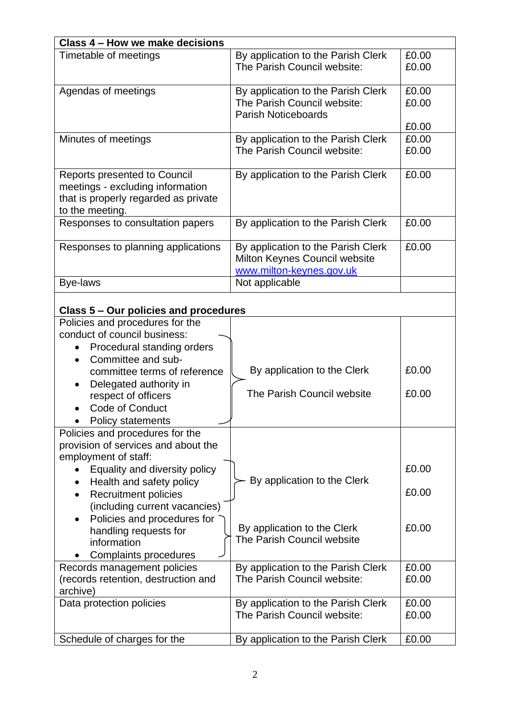| Class 4 – How we make decisions          |                                    |       |  |  |  |
|------------------------------------------|------------------------------------|-------|--|--|--|
| Timetable of meetings                    | By application to the Parish Clerk | £0.00 |  |  |  |
|                                          | The Parish Council website:        | £0.00 |  |  |  |
|                                          |                                    |       |  |  |  |
| Agendas of meetings                      | By application to the Parish Clerk | £0.00 |  |  |  |
|                                          | The Parish Council website:        | £0.00 |  |  |  |
|                                          | <b>Parish Noticeboards</b>         |       |  |  |  |
|                                          |                                    | £0.00 |  |  |  |
| Minutes of meetings                      | By application to the Parish Clerk | £0.00 |  |  |  |
|                                          | The Parish Council website:        | £0.00 |  |  |  |
|                                          |                                    |       |  |  |  |
| Reports presented to Council             | By application to the Parish Clerk | £0.00 |  |  |  |
| meetings - excluding information         |                                    |       |  |  |  |
| that is properly regarded as private     |                                    |       |  |  |  |
| to the meeting.                          |                                    |       |  |  |  |
| Responses to consultation papers         | By application to the Parish Clerk | £0.00 |  |  |  |
|                                          |                                    |       |  |  |  |
| Responses to planning applications       | By application to the Parish Clerk | £0.00 |  |  |  |
|                                          | Milton Keynes Council website      |       |  |  |  |
|                                          | www.milton-keynes.gov.uk           |       |  |  |  |
| <b>Bye-laws</b>                          | Not applicable                     |       |  |  |  |
|                                          |                                    |       |  |  |  |
|                                          |                                    |       |  |  |  |
| Class 5 – Our policies and procedures    |                                    |       |  |  |  |
| Policies and procedures for the          |                                    |       |  |  |  |
| conduct of council business:             |                                    |       |  |  |  |
| Procedural standing orders               |                                    |       |  |  |  |
| Committee and sub-<br>$\bullet$          |                                    |       |  |  |  |
| committee terms of reference             | By application to the Clerk        | £0.00 |  |  |  |
| Delegated authority in                   |                                    |       |  |  |  |
| respect of officers                      | The Parish Council website         | £0.00 |  |  |  |
| <b>Code of Conduct</b>                   |                                    |       |  |  |  |
| Policy statements                        |                                    |       |  |  |  |
| Policies and procedures for the          |                                    |       |  |  |  |
| provision of services and about the      |                                    |       |  |  |  |
| employment of staff:                     |                                    |       |  |  |  |
| Equality and diversity policy            |                                    | £0.00 |  |  |  |
| Health and safety policy                 | By application to the Clerk        |       |  |  |  |
| <b>Recruitment policies</b><br>$\bullet$ |                                    | £0.00 |  |  |  |
| (including current vacancies)            |                                    |       |  |  |  |
| Policies and procedures for              |                                    |       |  |  |  |
| handling requests for                    | By application to the Clerk        | £0.00 |  |  |  |
| information                              | The Parish Council website         |       |  |  |  |
| Complaints procedures                    |                                    |       |  |  |  |
| Records management policies              | By application to the Parish Clerk | £0.00 |  |  |  |
| (records retention, destruction and      | The Parish Council website:        | £0.00 |  |  |  |
| archive)                                 |                                    |       |  |  |  |
| Data protection policies                 | By application to the Parish Clerk | £0.00 |  |  |  |
|                                          | The Parish Council website:        | £0.00 |  |  |  |
|                                          |                                    |       |  |  |  |
| Schedule of charges for the              | By application to the Parish Clerk | £0.00 |  |  |  |